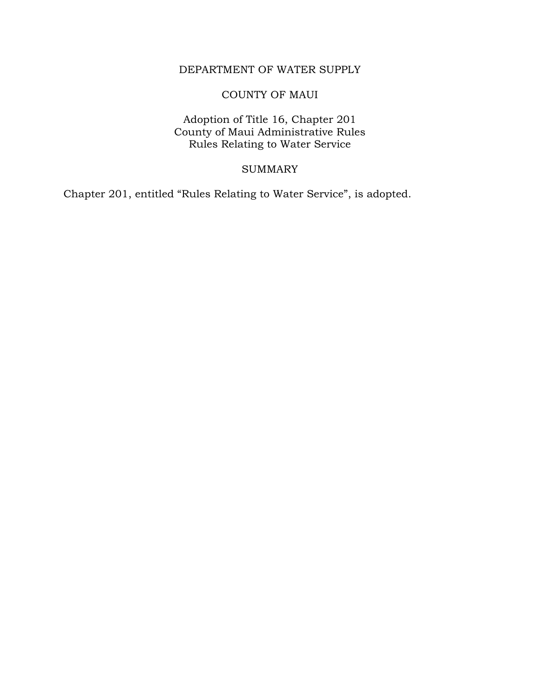# DEPARTMENT OF WATER SUPPLY

# COUNTY OF MAUI

Adoption of Title 16, Chapter 201 County of Maui Administrative Rules Rules Relating to Water Service

## SUMMARY

Chapter 201, entitled "Rules Relating to Water Service", is adopted.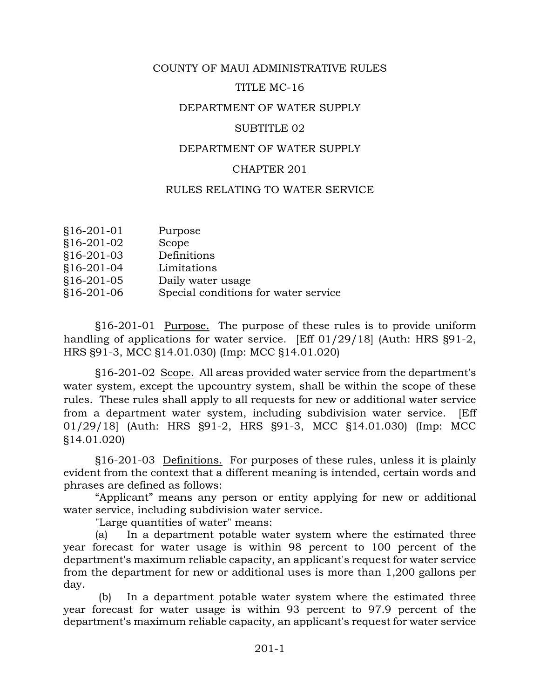## COUNTY OF MAUI ADMINISTRATIVE RULES

## TITLE MC-16

## DEPARTMENT OF WATER SUPPLY

#### SUBTITLE 02

#### DEPARTMENT OF WATER SUPPLY

#### CHAPTER 201

## RULES RELATING TO WATER SERVICE

| §16-201-01   | Purpose                              |
|--------------|--------------------------------------|
| §16-201-02   | Scope                                |
| §16-201-03   | Definitions                          |
| §16-201-04   | Limitations                          |
| $$16-201-05$ | Daily water usage                    |
| §16-201-06   | Special conditions for water service |

§16-201-01 Purpose. The purpose of these rules is to provide uniform handling of applications for water service. [Eff 01/29/18] (Auth: HRS §91-2, HRS §91-3, MCC §14.01.030) (Imp: MCC §14.01.020)

§16-201-02 Scope. All areas provided water service from the department's water system, except the upcountry system, shall be within the scope of these rules. These rules shall apply to all requests for new or additional water service from a department water system, including subdivision water service. [Eff 01/29/18] (Auth: HRS §91-2, HRS §91-3, MCC §14.01.030) (Imp: MCC §14.01.020)

§16-201-03 Definitions. For purposes of these rules, unless it is plainly evident from the context that a different meaning is intended, certain words and phrases are defined as follows:

"Applicant" means any person or entity applying for new or additional water service, including subdivision water service.

"Large quantities of water" means:

(a) In a department potable water system where the estimated three year forecast for water usage is within 98 percent to 100 percent of the department's maximum reliable capacity, an applicant's request for water service from the department for new or additional uses is more than 1,200 gallons per day.

(b) In a department potable water system where the estimated three year forecast for water usage is within 93 percent to 97.9 percent of the department's maximum reliable capacity, an applicant's request for water service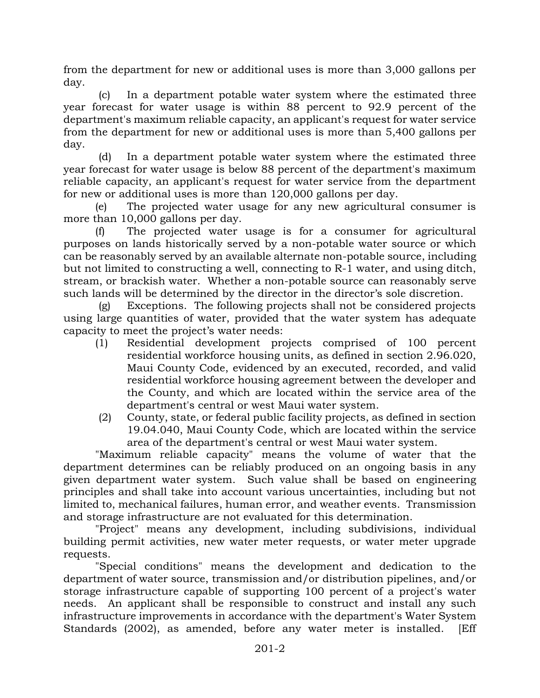from the department for new or additional uses is more than 3,000 gallons per day.

(c) In a department potable water system where the estimated three year forecast for water usage is within 88 percent to 92.9 percent of the department's maximum reliable capacity, an applicant's request for water service from the department for new or additional uses is more than 5,400 gallons per day.

(d) In a department potable water system where the estimated three year forecast for water usage is below 88 percent of the department's maximum reliable capacity, an applicant's request for water service from the department for new or additional uses is more than 120,000 gallons per day.

(e) The projected water usage for any new agricultural consumer is more than 10,000 gallons per day.

(f) The projected water usage is for a consumer for agricultural purposes on lands historically served by a non-potable water source or which can be reasonably served by an available alternate non-potable source, including but not limited to constructing a well, connecting to R-1 water, and using ditch, stream, or brackish water. Whether a non-potable source can reasonably serve such lands will be determined by the director in the director's sole discretion.

(g) Exceptions. The following projects shall not be considered projects using large quantities of water, provided that the water system has adequate capacity to meet the project's water needs:

- (1) Residential development projects comprised of 100 percent residential workforce housing units, as defined in section 2.96.020, Maui County Code, evidenced by an executed, recorded, and valid residential workforce housing agreement between the developer and the County, and which are located within the service area of the department's central or west Maui water system.
- (2) County, state, or federal public facility projects, as defined in section 19.04.040, Maui County Code, which are located within the service area of the department's central or west Maui water system.

"Maximum reliable capacity" means the volume of water that the department determines can be reliably produced on an ongoing basis in any given department water system. Such value shall be based on engineering principles and shall take into account various uncertainties, including but not limited to, mechanical failures, human error, and weather events. Transmission and storage infrastructure are not evaluated for this determination.

"Project" means any development, including subdivisions, individual building permit activities, new water meter requests, or water meter upgrade requests.

"Special conditions" means the development and dedication to the department of water source, transmission and/or distribution pipelines, and/or storage infrastructure capable of supporting 100 percent of a project's water needs. An applicant shall be responsible to construct and install any such infrastructure improvements in accordance with the department's Water System Standards (2002), as amended, before any water meter is installed. [Eff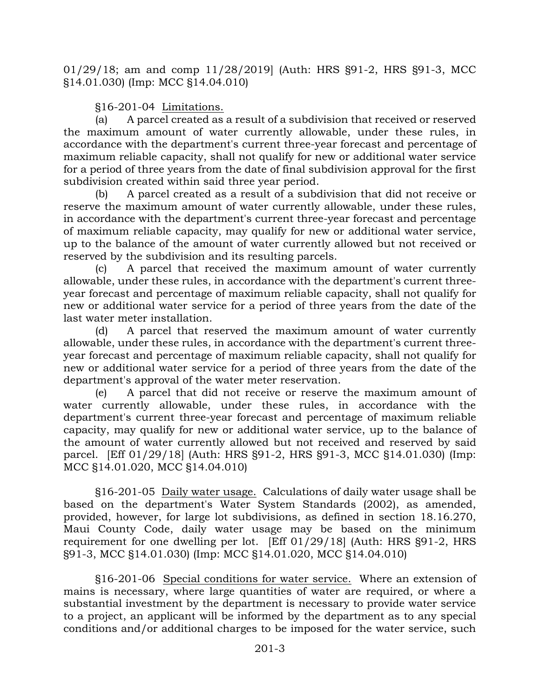01/29/18; am and comp 11/28/2019] (Auth: HRS §91-2, HRS §91-3, MCC §14.01.030) (Imp: MCC §14.04.010)

§16-201-04 Limitations.

(a) A parcel created as a result of a subdivision that received or reserved the maximum amount of water currently allowable, under these rules, in accordance with the department's current three-year forecast and percentage of maximum reliable capacity, shall not qualify for new or additional water service for a period of three years from the date of final subdivision approval for the first subdivision created within said three year period.

(b) A parcel created as a result of a subdivision that did not receive or reserve the maximum amount of water currently allowable, under these rules, in accordance with the department's current three-year forecast and percentage of maximum reliable capacity, may qualify for new or additional water service, up to the balance of the amount of water currently allowed but not received or reserved by the subdivision and its resulting parcels.

(c) A parcel that received the maximum amount of water currently allowable, under these rules, in accordance with the department's current threeyear forecast and percentage of maximum reliable capacity, shall not qualify for new or additional water service for a period of three years from the date of the last water meter installation.

(d) A parcel that reserved the maximum amount of water currently allowable, under these rules, in accordance with the department's current threeyear forecast and percentage of maximum reliable capacity, shall not qualify for new or additional water service for a period of three years from the date of the department's approval of the water meter reservation.

(e) A parcel that did not receive or reserve the maximum amount of water currently allowable, under these rules, in accordance with the department's current three-year forecast and percentage of maximum reliable capacity, may qualify for new or additional water service, up to the balance of the amount of water currently allowed but not received and reserved by said parcel. [Eff 01/29/18] (Auth: HRS §91-2, HRS §91-3, MCC §14.01.030) (Imp: MCC §14.01.020, MCC §14.04.010)

§16-201-05 Daily water usage. Calculations of daily water usage shall be based on the department's Water System Standards (2002), as amended, provided, however, for large lot subdivisions, as defined in section 18.16.270, Maui County Code, daily water usage may be based on the minimum requirement for one dwelling per lot. [Eff 01/29/18] (Auth: HRS §91-2, HRS §91-3, MCC §14.01.030) (Imp: MCC §14.01.020, MCC §14.04.010)

§16-201-06 Special conditions for water service. Where an extension of mains is necessary, where large quantities of water are required, or where a substantial investment by the department is necessary to provide water service to a project, an applicant will be informed by the department as to any special conditions and/or additional charges to be imposed for the water service, such